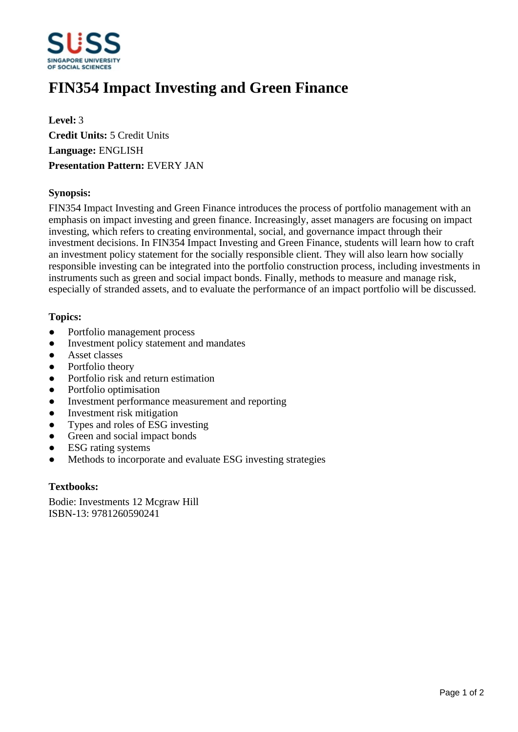

# **FIN354 Impact Investing and Green Finance**

**Level:** 3 **Credit Units:** 5 Credit Units **Language:** ENGLISH **Presentation Pattern:** EVERY JAN

## **Synopsis:**

FIN354 Impact Investing and Green Finance introduces the process of portfolio management with an emphasis on impact investing and green finance. Increasingly, asset managers are focusing on impact investing, which refers to creating environmental, social, and governance impact through their investment decisions. In FIN354 Impact Investing and Green Finance, students will learn how to craft an investment policy statement for the socially responsible client. They will also learn how socially responsible investing can be integrated into the portfolio construction process, including investments in instruments such as green and social impact bonds. Finally, methods to measure and manage risk, especially of stranded assets, and to evaluate the performance of an impact portfolio will be discussed.

## **Topics:**

- Portfolio management process
- Investment policy statement and mandates
- Asset classes
- Portfolio theory
- Portfolio risk and return estimation
- Portfolio optimisation
- Investment performance measurement and reporting
- Investment risk mitigation
- Types and roles of ESG investing
- Green and social impact bonds
- ESG rating systems
- Methods to incorporate and evaluate ESG investing strategies

### **Textbooks:**

Bodie: Investments 12 Mcgraw Hill ISBN-13: 9781260590241